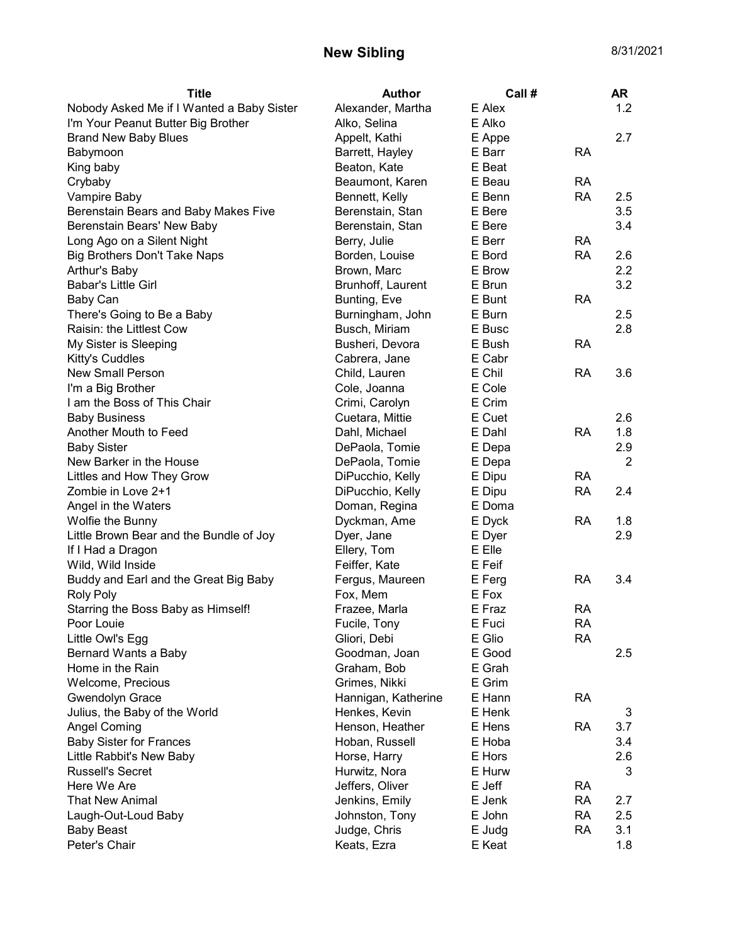## New Sibling 8/31/2021

| E Alex<br>Nobody Asked Me if I Wanted a Baby Sister<br>Alexander, Martha        | 1.2 |
|---------------------------------------------------------------------------------|-----|
| I'm Your Peanut Butter Big Brother<br>E Alko<br>Alko, Selina                    |     |
| <b>Brand New Baby Blues</b><br>Appelt, Kathi<br>E Appe                          | 2.7 |
| E Barr<br><b>RA</b><br>Babymoon<br>Barrett, Hayley                              |     |
| E Beat<br>Beaton, Kate<br>King baby                                             |     |
| Beaumont, Karen<br>E Beau<br><b>RA</b><br>Crybaby                               |     |
| E Benn<br><b>RA</b><br>Vampire Baby<br>Bennett, Kelly                           | 2.5 |
| Berenstain, Stan<br>E Bere<br>Berenstain Bears and Baby Makes Five              | 3.5 |
| E Bere<br>Berenstain Bears' New Baby<br>Berenstain, Stan                        | 3.4 |
| Long Ago on a Silent Night<br>Berry, Julie<br>E Berr<br><b>RA</b>               |     |
| Big Brothers Don't Take Naps<br>Borden, Louise<br>E Bord<br><b>RA</b>           | 2.6 |
| Arthur's Baby<br>Brown, Marc<br>E Brow                                          | 2.2 |
| <b>Babar's Little Girl</b><br>Brunhoff, Laurent<br>E Brun                       | 3.2 |
| Bunting, Eve<br>E Bunt<br><b>RA</b><br>Baby Can                                 |     |
| Burningham, John<br>E Burn<br>There's Going to Be a Baby                        | 2.5 |
| Raisin: the Littlest Cow<br>Busch, Miriam<br>E Busc                             | 2.8 |
| My Sister is Sleeping<br>Busheri, Devora<br>E Bush<br><b>RA</b>                 |     |
| Kitty's Cuddles<br>Cabrera, Jane<br>E Cabr                                      |     |
| E Chil<br><b>New Small Person</b><br>Child, Lauren<br><b>RA</b>                 | 3.6 |
| I'm a Big Brother<br>Cole, Joanna<br>E Cole                                     |     |
| E Crim<br>I am the Boss of This Chair<br>Crimi, Carolyn                         |     |
| <b>Baby Business</b><br>Cuetara, Mittie<br>E Cuet                               | 2.6 |
| Another Mouth to Feed<br>Dahl, Michael<br>E Dahl<br><b>RA</b>                   | 1.8 |
| <b>Baby Sister</b><br>DePaola, Tomie<br>E Depa                                  | 2.9 |
| New Barker in the House<br>DePaola, Tomie<br>E Depa                             | 2   |
| DiPucchio, Kelly<br>E Dipu<br><b>RA</b><br>Littles and How They Grow            |     |
| <b>RA</b><br>Zombie in Love 2+1<br>DiPucchio, Kelly<br>E Dipu                   | 2.4 |
| E Doma<br>Angel in the Waters<br>Doman, Regina                                  |     |
| Wolfie the Bunny<br>E Dyck<br><b>RA</b><br>Dyckman, Ame                         | 1.8 |
| Little Brown Bear and the Bundle of Joy<br>E Dyer<br>Dyer, Jane                 | 2.9 |
| Ellery, Tom<br>If I Had a Dragon<br>E Elle                                      |     |
| Feiffer, Kate<br>E Feif<br>Wild, Wild Inside                                    |     |
| E Ferg<br><b>RA</b><br>Buddy and Earl and the Great Big Baby<br>Fergus, Maureen | 3.4 |
| E Fox<br>Fox, Mem<br><b>Roly Poly</b>                                           |     |
| E Fraz<br>Starring the Boss Baby as Himself!<br>Frazee, Marla<br>RA             |     |
| E Fuci<br>Fucile, Tony<br><b>RA</b><br>Poor Louie                               |     |
| E Glio<br><b>RA</b><br>Little Owl's Egg<br>Gliori, Debi                         |     |
| E Good<br>Bernard Wants a Baby<br>Goodman, Joan                                 | 2.5 |
| E Grah<br>Home in the Rain<br>Graham, Bob                                       |     |
| Welcome, Precious<br>Grimes, Nikki<br>E Grim                                    |     |
| <b>Gwendolyn Grace</b><br>E Hann<br><b>RA</b><br>Hannigan, Katherine            |     |
| Julius, the Baby of the World<br>Henkes, Kevin<br>E Henk                        | 3   |
| <b>Angel Coming</b><br>Henson, Heather<br>E Hens<br><b>RA</b>                   | 3.7 |
| <b>Baby Sister for Frances</b><br>Hoban, Russell<br>E Hoba                      | 3.4 |
| Little Rabbit's New Baby<br>Horse, Harry<br>E Hors                              | 2.6 |
| <b>Russell's Secret</b><br>Hurwitz, Nora<br>E Hurw                              | 3   |
| Here We Are<br>Jeffers, Oliver<br>E Jeff<br><b>RA</b>                           |     |
| <b>That New Animal</b><br>Jenkins, Emily<br>E Jenk<br><b>RA</b>                 | 2.7 |
| Johnston, Tony<br>E John<br><b>RA</b><br>Laugh-Out-Loud Baby                    | 2.5 |
| <b>RA</b><br><b>Baby Beast</b><br>Judge, Chris<br>E Judg                        | 3.1 |
| Peter's Chair<br>Keats, Ezra<br>E Keat                                          | 1.8 |